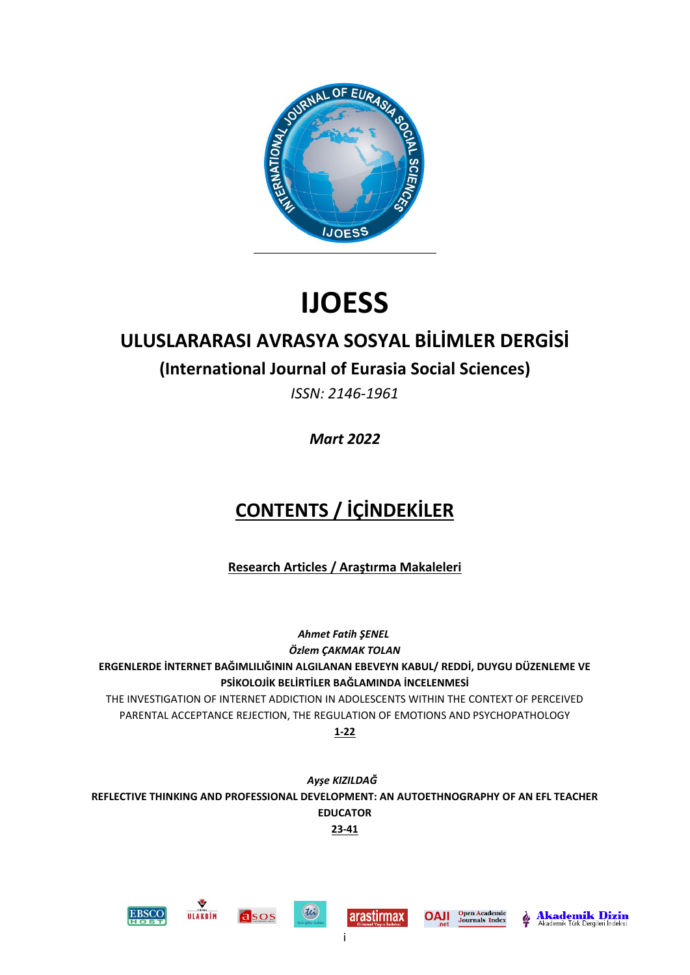

# **IJOESS**

## **ULUSLARARASI AVRASYA SOSYAL BİLİMLER DERGİSİ**

## **(International Journal of Eurasia Social Sciences)**

*ISSN: 2146-1961*

*Mart 2022*

# **CONTENTS / İÇİNDEKİLER**

**Research Articles / Araştırma Makaleleri**

*Ahmet Fatih ŞENEL Özlem ÇAKMAK TOLAN* **[ERGENLERDE İNTERNET BAĞIMLILIĞININ ALGILANAN EBEVEYN KABUL/ REDDİ, DUYGU DÜZENLEME VE](http://www.ijoess.com/DergiTamDetay.aspx?ID=3062&Detay=Ozet)  [PSİKOLOJİK BELİRTİLER BAĞLAMINDA İNCELENMESİ](http://www.ijoess.com/DergiTamDetay.aspx?ID=3062&Detay=Ozet)**

[THE INVESTIGATION OF INTERNET ADDICTION IN ADOLESCENTS WITHIN THE CONTEXT OF PERCEIVED](http://www.ijoess.com/DergiTamDetay.aspx?ID=3062&Detay=Ozet)  [PARENTAL ACCEPTANCE REJECTION, THE REGULATION OF EMOTIONS AND PSYCHOPATHOLOGY](http://www.ijoess.com/DergiTamDetay.aspx?ID=3062&Detay=Ozet) **1-22**

*Ayşe KIZILDAĞ* **[REFLECTIVE THINKING AND PROFESSIONAL DEVELOPMENT: AN AUTOETHNOGRAPHY OF AN EFL TEACHER](http://www.ijoess.com/DergiTamDetay.aspx?ID=3078&Detay=Ozet)  [EDUCATOR](http://www.ijoess.com/DergiTamDetay.aspx?ID=3078&Detay=Ozet) 23-41**

i











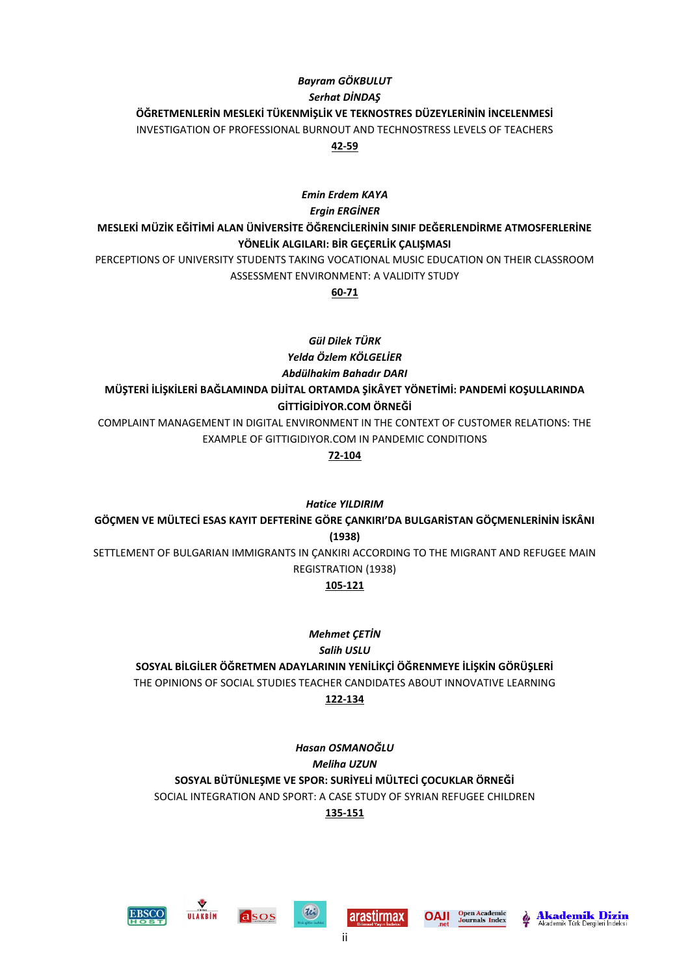## *Bayram GÖKBULUT Serhat DİNDAŞ* **[ÖĞRETMENLERİN MESLEKİ TÜKENMİŞLİK VE TEKNOSTRES DÜZEYLERİNİN İNCELENMESİ](http://www.ijoess.com/DergiTamDetay.aspx?ID=3096&Detay=Ozet)** [INVESTIGATION OF PROFESSIONAL BURNOUT AND TECHNOSTRESS LEVELS OF TEACHERS](http://www.ijoess.com/DergiTamDetay.aspx?ID=3096&Detay=Ozet) **42-59**

## *Emin Erdem KAYA Ergin ERGİNER* **[MESLEKİ MÜZİK EĞİTİMİ ALAN ÜNİVERSİTE ÖĞRENCİLERİNİN SINIF DEĞERLENDİRME ATMOSFERLERİNE](http://www.ijoess.com/DergiTamDetay.aspx?ID=3071&Detay=Ozet)  [YÖNELİK ALGILARI: BİR GEÇERLİK ÇALIŞMASI](http://www.ijoess.com/DergiTamDetay.aspx?ID=3071&Detay=Ozet)**

[PERCEPTIONS OF UNIVERSITY STUDENTS TAKING VOCATIONAL MUSIC EDUCATION ON THEIR CLASSROOM](http://www.ijoess.com/DergiTamDetay.aspx?ID=3071&Detay=Ozet)  [ASSESSMENT ENVIRONMENT: A VALIDITY STUDY](http://www.ijoess.com/DergiTamDetay.aspx?ID=3071&Detay=Ozet)

**60-71**

*Gül Dilek TÜRK Yelda Özlem KÖLGELİER Abdülhakim Bahadır DARI*

## **[MÜŞTERİ İLİŞKİLERİ BAĞLAMINDA DİJİTAL ORTAMDA ŞİKÂYET YÖNETİMİ: PANDEMİ KOŞULLARINDA](http://www.ijoess.com/DergiTamDetay.aspx?ID=3108&Detay=Ozet)  [GİTTİGİDİYOR.COM ÖRNEĞİ](http://www.ijoess.com/DergiTamDetay.aspx?ID=3108&Detay=Ozet)**

[COMPLAINT MANAGEMENT IN DIGITAL ENVIRONMENT IN THE CONTEXT OF CUSTOMER RELATIONS: THE](http://www.ijoess.com/DergiTamDetay.aspx?ID=3108&Detay=Ozet)  [EXAMPLE OF GITTIGIDIYOR.COM IN PANDEMIC CONDITIONS](http://www.ijoess.com/DergiTamDetay.aspx?ID=3108&Detay=Ozet)

**72-104**

*Hatice YILDIRIM*

**[GÖÇMEN VE MÜLTECİ ESAS KAYIT DEFTERİNE GÖRE ÇANKIRI'DA BULGARİSTAN GÖÇMENLERİNİN İSKÂNI](http://www.ijoess.com/DergiTamDetay.aspx?ID=3067&Detay=Ozet)  [\(1938\)](http://www.ijoess.com/DergiTamDetay.aspx?ID=3067&Detay=Ozet)** [SETTLEMENT OF BULGARIAN IMMIGRANTS IN ÇANKIRI ACCORDING TO THE MIGRANT AND REFUGEE MAIN](http://www.ijoess.com/DergiTamDetay.aspx?ID=3067&Detay=Ozet)  [REGISTRATION \(1938\)](http://www.ijoess.com/DergiTamDetay.aspx?ID=3067&Detay=Ozet)

## **105-121**

*Mehmet ÇETİN Salih USLU*

**[SOSYAL BİLGİLER ÖĞRETMEN ADAYLARININ YENİLİKÇİ ÖĞRENMEYE İLİŞKİN GÖRÜŞLERİ](http://www.ijoess.com/DergiTamDetay.aspx?ID=3090&Detay=Ozet)** [THE OPINIONS OF SOCIAL STUDIES TEACHER CANDIDATES ABOUT INNOVATIVE LEARNING](http://www.ijoess.com/DergiTamDetay.aspx?ID=3090&Detay=Ozet) **122-134**

*Hasan OSMANOĞLU Meliha UZUN* **[SOSYAL BÜTÜNLEŞME VE SPOR: SURİYELİ MÜLTECİ ÇOCUKLAR ÖRNEĞİ](http://www.ijoess.com/DergiTamDetay.aspx?ID=3091&Detay=Ozet)** [SOCIAL INTEGRATION AND SPORT: A CASE STUDY OF SYRIAN REFUGEE CHILDREN](http://www.ijoess.com/DergiTamDetay.aspx?ID=3091&Detay=Ozet) **135-151**









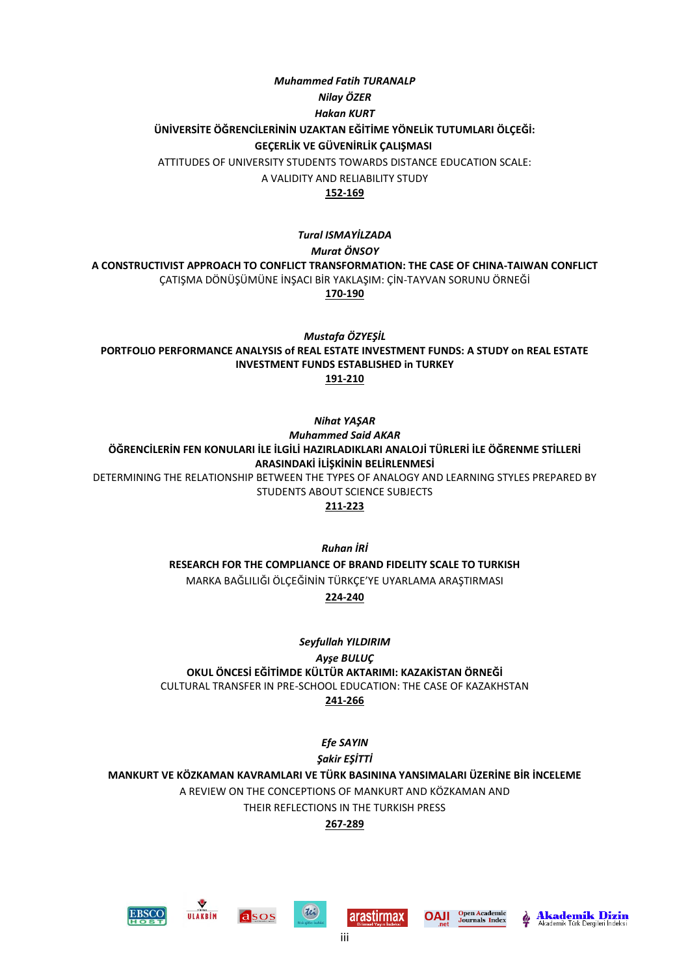## *Muhammed Fatih TURANALP Nilay ÖZER Hakan KURT* **ÜNİVERSİTE ÖĞRENCİLERİNİN UZAKTAN EĞİTİME YÖNELİK TUTUMLARI ÖLÇEĞİ: GEÇERLİK VE GÜVENİRLİK ÇALIŞMASI** ATTITUDES OF UNIVERSITY STUDENTS TOWARDS DISTANCE EDUCATION SCALE:

A VALIDITY AND RELIABILITY STUDY

## **152-169**

*Tural ISMAYİLZADA Murat ÖNSOY* **[A CONSTRUCTIVIST APPROACH TO CONFLICT TRANSFORMATION: THE CASE OF CHINA-TAIWAN CONFLICT](http://www.ijoess.com/DergiTamDetay.aspx?ID=3072&Detay=Ozet)** [ÇATIŞMA DÖNÜŞÜMÜNE İNŞACI BİR YAKLAŞIM: ÇİN](http://www.ijoess.com/DergiTamDetay.aspx?ID=3072&Detay=Ozet)-TAYVAN SORUNU ÖRNEĞİ **170-190**

*Mustafa ÖZYEŞİL* **[PORTFOLIO PERFORMANCE ANALYSIS of REAL ESTATE INVESTMENT FUNDS: A STUDY on REAL ESTATE](http://www.ijoess.com/DergiTamDetay.aspx?ID=3093&Detay=Ozet)  [INVESTMENT FUNDS ESTABLISHED in TURKEY](http://www.ijoess.com/DergiTamDetay.aspx?ID=3093&Detay=Ozet) [191-210](http://www.ijoess.com/DergiTamDetay.aspx?ID=3093&Detay=Ozet)**

*Nihat YAŞAR*

*Muhammed Said AKAR* **[ÖĞRENCİLERİN FEN KONULARI İLE İLGİLİ HAZIRLADIKLARI ANALOJİ TÜRLERİ İLE ÖĞRENME STİLLERİ](http://www.ijoess.com/DergiTamDetay.aspx?ID=3082&Detay=Ozet)  [ARASINDAKİ İLİŞKİNİN BELİRLENMESİ](http://www.ijoess.com/DergiTamDetay.aspx?ID=3082&Detay=Ozet)** [DETERMINING THE RELATIONSHIP BETWEEN THE TYPES OF ANALOGY AND LEARNING STYLES PREPARED BY](http://www.ijoess.com/DergiTamDetay.aspx?ID=3082&Detay=Ozet)  [STUDENTS ABOUT SCIENCE SUBJECTS](http://www.ijoess.com/DergiTamDetay.aspx?ID=3082&Detay=Ozet)

**211-223**

*Ruhan İRİ*

**[RESEARCH FOR THE COMPLIANCE OF BRAND FIDELITY SCALE TO TURKISH](http://www.ijoess.com/DergiTamDetay.aspx?ID=2857&Detay=Ozet)** MARKA BAĞLILIĞI ÖLÇEĞİNİN [TÜRKÇE'YE UYARLAMA ARAŞTIRMASI](http://www.ijoess.com/DergiTamDetay.aspx?ID=2857&Detay=Ozet)

**224-240**

*Seyfullah YILDIRIM Ayşe BULUÇ* **[OKUL ÖNCESİ EĞİTİMDE KÜLTÜR AKTARIMI: KAZAKİSTAN ÖRNEĞİ](http://www.ijoess.com/DergiTamDetay.aspx?ID=3109&Detay=Ozet)** [CULTURAL TRANSFER IN PRE-SCHOOL EDUCATION: THE CASE OF KAZAKHSTAN](http://www.ijoess.com/DergiTamDetay.aspx?ID=3109&Detay=Ozet) **241-266**

> *Efe SAYIN Şakir EŞİTTİ*

**[MANKURT VE KÖZKAMAN KAVRAMLARI VE TÜRK BASININA YANSIMALARI ÜZERİNE BİR İNCELEME](http://www.ijoess.com/DergiTamDetay.aspx?ID=3094&Detay=Ozet)** A REVIEW ON THE CONCEPTIONS OF MANKURT AND KÖZKAMAN AND THEIR REFLECTIONS IN THE TURKISH PRESS

### **267-289**